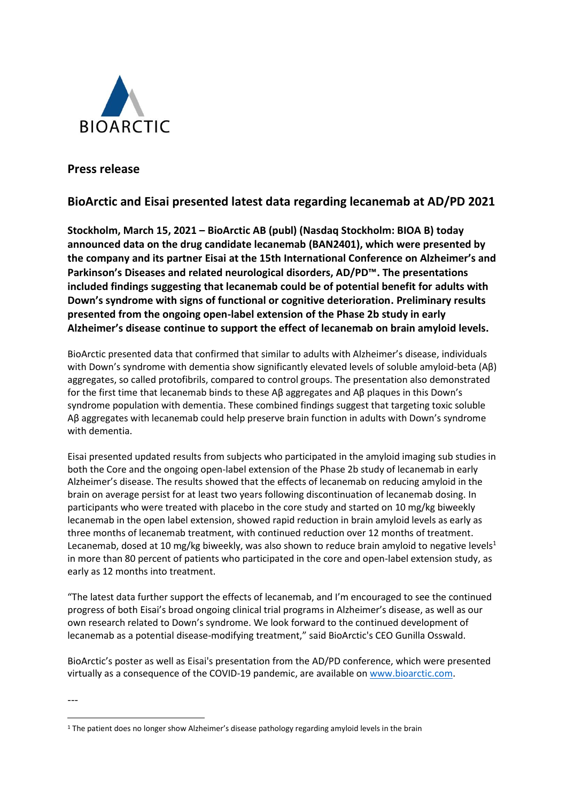

**Press release**

# **BioArctic and Eisai presented latest data regarding lecanemab at AD/PD 2021**

**Stockholm, March 15, 2021 – BioArctic AB (publ) (Nasdaq Stockholm: BIOA B) today announced data on the drug candidate lecanemab (BAN2401), which were presented by the company and its partner Eisai at the 15th International Conference on Alzheimer's and Parkinson's Diseases and related neurological disorders, AD/PD™. The presentations included findings suggesting that lecanemab could be of potential benefit for adults with Down's syndrome with signs of functional or cognitive deterioration. Preliminary results presented from the ongoing open-label extension of the Phase 2b study in early Alzheimer's disease continue to support the effect of lecanemab on brain amyloid levels.**

BioArctic presented data that confirmed that similar to adults with Alzheimer's disease, individuals with Down's syndrome with dementia show significantly elevated levels of soluble amyloid-beta (Aβ) aggregates, so called protofibrils, compared to control groups. The presentation also demonstrated for the first time that lecanemab binds to these Aβ aggregates and Aβ plaques in this Down's syndrome population with dementia. These combined findings suggest that targeting toxic soluble Aβ aggregates with lecanemab could help preserve brain function in adults with Down's syndrome with dementia.

Eisai presented updated results from subjects who participated in the amyloid imaging sub studies in both the Core and the ongoing open-label extension of the Phase 2b study of lecanemab in early Alzheimer's disease. The results showed that the effects of lecanemab on reducing amyloid in the brain on average persist for at least two years following discontinuation of lecanemab dosing. In participants who were treated with placebo in the core study and started on 10 mg/kg biweekly lecanemab in the open label extension, showed rapid reduction in brain amyloid levels as early as three months of lecanemab treatment, with continued reduction over 12 months of treatment. Lecanemab, dosed at 10 mg/kg biweekly, was also shown to reduce brain amyloid to negative levels<sup>1</sup> in more than 80 percent of patients who participated in the core and open-label extension study, as early as 12 months into treatment.

"The latest data further support the effects of lecanemab, and I'm encouraged to see the continued progress of both Eisai's broad ongoing clinical trial programs in Alzheimer's disease, as well as our own research related to Down's syndrome. We look forward to the continued development of lecanemab as a potential disease-modifying treatment," said BioArctic's CEO Gunilla Osswald.

BioArctic's poster as well as Eisai's presentation from the AD/PD conference, which were presented virtually as a consequence of the COVID-19 pandemic, are available on [www.bioarctic.com.](http://www.bioarctic.se/)

---

<sup>&</sup>lt;sup>1</sup> The patient does no longer show Alzheimer's disease pathology regarding amyloid levels in the brain